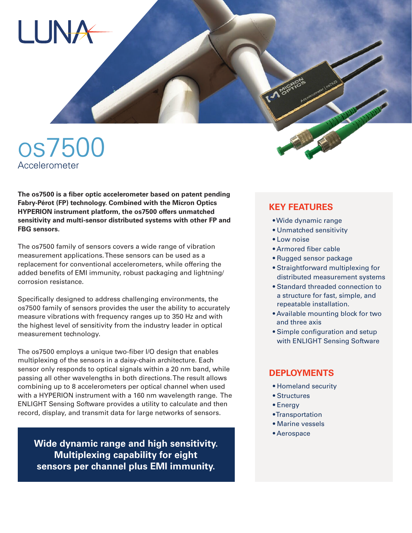

**The os7500 is a fiber optic accelerometer based on patent pending Fabry-Pérot (FP) technology. Combined with the Micron Optics HYPERION instrument platform, the os7500 offers unmatched sensitivity and multi-sensor distributed systems with other FP and FBG sensors.**

The os7500 family of sensors covers a wide range of vibration measurement applications. These sensors can be used as a replacement for conventional accelerometers, while offering the added benefits of EMI immunity, robust packaging and lightning/ corrosion resistance.

Specifically designed to address challenging environments, the os7500 family of sensors provides the user the ability to accurately measure vibrations with frequency ranges up to 350 Hz and with the highest level of sensitivity from the industry leader in optical measurement technology.

The os7500 employs a unique two-fiber I/O design that enables multiplexing of the sensors in a daisy-chain architecture. Each sensor only responds to optical signals within a 20 nm band, while passing all other wavelengths in both directions. The result allows combining up to 8 accelerometers per optical channel when used with a HYPERION instrument with a 160 nm wavelength range. The ENLIGHT Sensing Software provides a utility to calculate and then record, display, and transmit data for large networks of sensors.

**Wide dynamic range and high sensitivity. Multiplexing capability for eight sensors per channel plus EMI immunity.**

## **KEY FEATURES**

- Wide dynamic range
- Unmatched sensitivity
- Low noise
- Armored fiber cable
- Rugged sensor package
- Straightforward multiplexing for distributed measurement systems
- Standard threaded connection to a structure for fast, simple, and repeatable installation.
- Available mounting block for two and three axis
- Simple configuration and setup with ENLIGHT Sensing Software

### **DEPLOYMENTS**

- Homeland security
- Structures
- Energy
- Transportation
- Marine vessels
- Aerospace